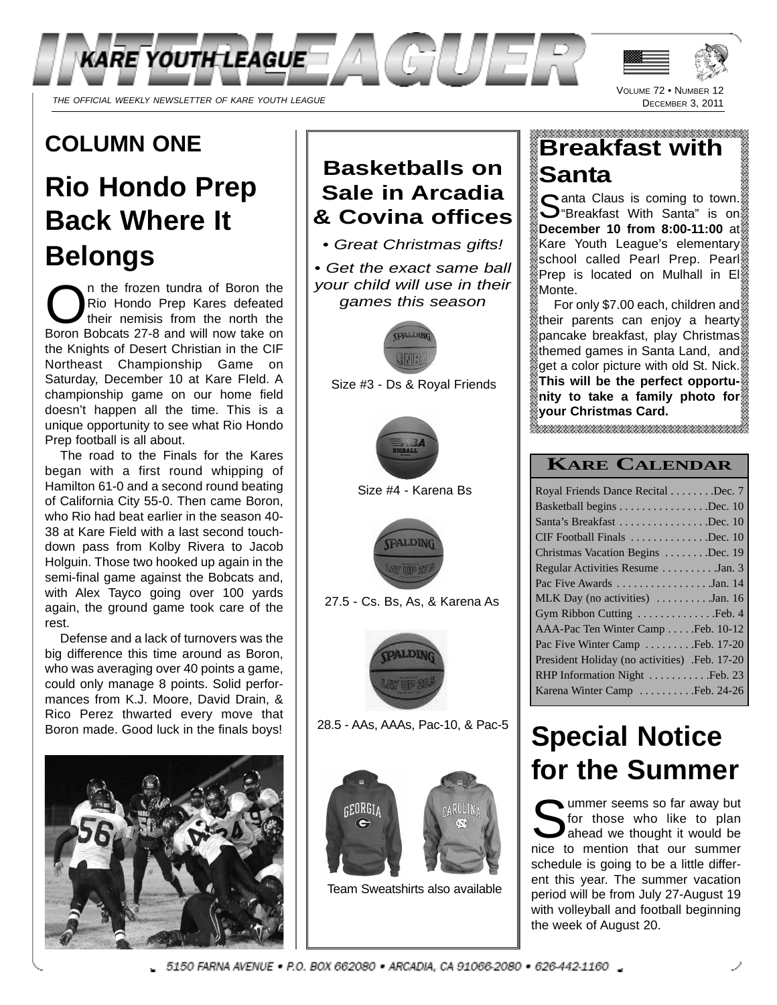

# **COLUMN ONE**

# **Rio Hondo Prep Back Where It Belongs**

n the frozen tundra of Boron the<br>Rio Hondo Prep Kares defeated<br>their nemisis from the north the<br>Boron Bobcats 27-8 and will now take on n the frozen tundra of Boron the Rio Hondo Prep Kares defeated their nemisis from the north the the Knights of Desert Christian in the CIF Northeast Championship Game on Saturday, December 10 at Kare FIeld. A championship game on our home field doesn't happen all the time. This is a unique opportunity to see what Rio Hondo Prep football is all about.

The road to the Finals for the Kares began with a first round whipping of Hamilton 61-0 and a second round beating of California City 55-0. Then came Boron, who Rio had beat earlier in the season 40- 38 at Kare Field with a last second touchdown pass from Kolby Rivera to Jacob Holguin. Those two hooked up again in the semi-final game against the Bobcats and, with Alex Tayco going over 100 yards again, the ground game took care of the rest.

Defense and a lack of turnovers was the big difference this time around as Boron, who was averaging over 40 points a game, could only manage 8 points. Solid performances from K.J. Moore, David Drain, & Rico Perez thwarted every move that Boron made. Good luck in the finals boys!



## **Basketballs on Sale in Arcadia & Covina offices**

KARE YOUTH LEAGUE  $\mathbb{Z}/\mathbb{A}\backslash\mathbb{CP}$   $\cup$   $\mathbb{Z}/\mathbb{R}$  ,

• Great Christmas gifts!

• Get the exact same ball your child will use in their games this season



Size #3 - Ds & Royal Friends



Size #4 - Karena Bs



27.5 - Cs. Bs, As, & Karena As



28.5 - AAs, AAAs, Pac-10, & Pac-5



Team Sweatshirts also available

# **Breakfast with Santa**

VOLUME 72 · NUMBER DECEMBER 3, 2011

Santa Claus is coming to town.<br>S "Breakfast With Santa" is on  $\sum$ "Breakfast With Santa" is on **December 10 from 8:00-11:00** at Kare Youth League's elementary school called Pearl Prep. Pearl Prep is located on Mulhall in El Monte.

For only \$7.00 each, children and wheir parents can enjoy a hearty pancake breakfast, play Christmas themed games in Santa Land, and get a color picture with old St. Nick. **This will be the perfect opportunity to take a family photo for your Christmas Card.** 

## **KARE CALENDAR**

| Royal Friends Dance Recital Dec. 7                  |
|-----------------------------------------------------|
| Basketball begins Dec. 10                           |
| Santa's Breakfast Dec. 10                           |
| CIF Football Finals Dec. 10                         |
| Christmas Vacation Begins Dec. 19                   |
| Regular Activities Resume Jan. 3                    |
| Pac Five Awards Jan. 14                             |
| MLK Day (no activities) $\dots \dots \dots$ Jan. 16 |
| Gym Ribbon Cutting Feb. 4                           |
| AAA-Pac Ten Winter Camp  10-12                      |
| Pac Five Winter Camp  Feb. 17-20                    |
| President Holiday (no activities) .Feb. 17-20       |
| RHP Information Night Feb. 23                       |
| Karena Winter Camp Feb. 24-26                       |
|                                                     |

# **Special Notice for the Summer**

So those who like to plan<br>ahead we thought it would be<br>piece to meeting that our summer ummer seems so far away but for those who like to plan nice to mention that our summer schedule is going to be a little different this year. The summer vacation period will be from July 27-August 19 with volleyball and football beginning the week of August 20.